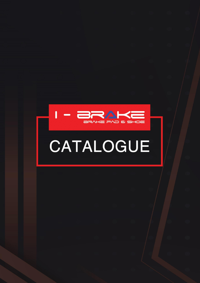

# CATALOGUE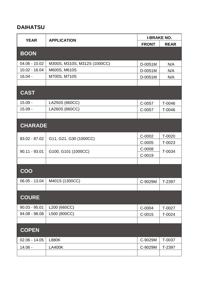# DAIHATSU

| <b>YEAR</b>     | <b>APPLICATION</b>           | <b>I-BRAKE NO.</b> |             |
|-----------------|------------------------------|--------------------|-------------|
|                 |                              | <b>FRONT</b>       | <b>REAR</b> |
| <b>BOON</b>     |                              |                    |             |
| $04.06 - 10.02$ | M300S, M310S, M312S (1000CC) | D-0051M            | N/A         |
| $10.02 - 16.04$ | M600S, M610S                 | D-0051M            | N/A         |
| $16.04 -$       | M700S, M710S                 | D-0051M            | N/A         |
|                 |                              |                    |             |
| <b>CAST</b>     |                              |                    |             |
| $15.09 -$       | LA250S (660CC)               | C-0057             | T-0046      |
| $15.09 -$       | LA260S (660CC)               | C-0057             | T-0046      |
|                 |                              |                    |             |
| <b>CHARADE</b>  |                              |                    |             |
| 83.02 - 87.02   | G11, G21, G30 (1000CC)       | C-0002             | T-0020      |
|                 |                              | C-0005             | T-0023      |
| $90.11 - 93.01$ | G100, G101 (1000CC)          | C-0008             | T-0034      |
|                 |                              | C-0019             |             |
|                 |                              |                    |             |
| COO             |                              |                    |             |
| $06.05 - 13.04$ | M401S (1300CC)               | C-9029M            | T-2397      |
|                 |                              |                    |             |
| <b>COURE</b>    |                              |                    |             |
| $90.03 - 95.01$ | L200 (660CC)                 | C-0004             | T-0027      |
| 94.08 - 98.08   | L500 (800CC)                 | $C-0015$           | T-0024      |
|                 |                              |                    |             |
| <b>COPEN</b>    |                              |                    |             |
| $02.06 - 14.05$ | <b>L880K</b>                 | C-9029M            | T-0037      |
| $14.06 -$       | <b>LA400K</b>                | C-9029M            | T-2397      |
|                 |                              |                    |             |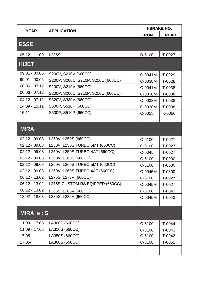| <b>YEAR</b>     | <b>APPLICATION</b>                 | <b>I-BRAKE NO.</b> |             |
|-----------------|------------------------------------|--------------------|-------------|
|                 |                                    | <b>FRONT</b>       | <b>REAR</b> |
| <b>ESSE</b>     |                                    |                    |             |
|                 |                                    |                    |             |
| $05.12 - 11.09$ | L235S                              | D-6100             | T-0027      |
| <b>HIJET</b>    |                                    |                    |             |
| $99.01 - 00.05$ | S200V, S210V (660CC)               | C-0041M            | T-0029      |
| $99.01 - 00.05$ | S200P, S200C, S210P, S210C (660CC) | C-0038M            | T-0028      |
| $00.06 - 07.12$ | S200V, S210V (660CC)               | C-0041M            | T-0038      |
| $00.06 - 07.12$ | S200P, S200C, S210P, S210C (660CC) | C-0038M            | T-0038      |
| $04.12 - 07.12$ | S320V, S330V (660CC)               | C-0038M            | T-0038      |
| 14.09 - 15.11   | S500P, S510P (660CC)               | C-0038M            | T-0038      |
| $15.11 -$       | S500P, S510P (660CC)               | C-0058             | K-0056      |
|                 |                                    |                    |             |
| <b>MIRA</b>     |                                    |                    |             |
| $02.12 - 09.08$ | L250V, L250S (660CC)               | C-6100             | T-0027      |
| $02.12 - 09.08$ | L250V, L250S TURBO 5MT (660CC)     | C-6100             | T-0027      |
| $02.12 - 09.08$ | L250V, L250S TURBO 4AT (660CC)     | C-0045             | T-0027      |
| $02.12 - 09.08$ | L260V, L260S (660CC)               | C-6100             | T-0030      |
| $02.12 - 09.08$ | L260V, L260S TURBO 5MT (660CC)     | C-6100             | T-0030      |
| $02.12 - 09.08$ | L260V, L260S TURBO 4AT (660CC)     | C-0045M            | T-0300      |
| $06.12 - 13.02$ | L275S, L275V (660CC)               | C-6100             | T-0027      |
| $06.12 - 13.02$ | L275S CUSTOM RS EQIPPED (660CC)    | C-0045M            | T-0027      |
| 06.12 - 13.02   | L285S, L285V (660CC)               | C-6100             | T-0043      |
| 13.02 - 18.03   | L285S, L285V (660CC)               | C-0045M            | T-0043      |
|                 |                                    |                    |             |
| MIRA e: S       |                                    |                    |             |
| 11.09 - 17.05   | LA300S (660CC)                     | C-6100             | T-0044      |
| 11.09 - 17.05   | LA310S (660CC)                     | C-6100             | T-0043      |
| 17.05-          | LA350S (660CC)                     | C-6100             | T-0042      |
| 17.05-          | LA360S (660CC)                     | C-6100             | T-0051      |
|                 |                                    |                    |             |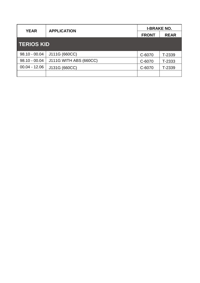|                   | <b>YEAR</b><br><b>APPLICATION</b> | <b>I-BRAKE NO.</b> |             |
|-------------------|-----------------------------------|--------------------|-------------|
|                   |                                   | <b>FRONT</b>       | <b>REAR</b> |
| <b>TERIOS KID</b> |                                   |                    |             |
| $98.10 - 00.04$   | J111G (660CC)                     | C-6070             | T-2339      |
| $98.10 - 00.04$   | J111G WITH ABS (660CC)            | C-6070             | T-2333      |
| $00.04 - 12.06$   | J131G (660CC)                     | C-6070             | T-2339      |
|                   |                                   |                    |             |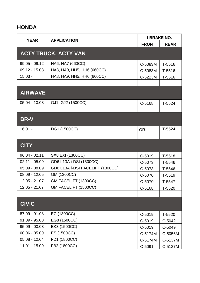#### **HONDA**

| <b>APPLICATION</b><br><b>YEAR</b> | <b>I-BRAKE NO.</b>               |              |             |
|-----------------------------------|----------------------------------|--------------|-------------|
|                                   |                                  | <b>FRONT</b> | <b>REAR</b> |
|                                   | <b>ACTY TRUCK, ACTY VAN</b>      |              |             |
| $99.05 - 09.12$                   | HA6, HA7 (660CC)                 | C-5083M      | T-5516      |
| $09.12 - 15.03$                   | HA8, HA9, HH5, HH6 (660CC)       | C-5083M      | T-5516      |
| $15.03 -$                         | HA8, HA9, HH5, HH6 (660CC)       | C-5223M      | T-5516      |
|                                   |                                  |              |             |
| <b>AIRWAVE</b>                    |                                  |              |             |
| $05.04 - 10.08$                   | GJ1, GJ2 (1500CC)                | C-5168       | T-5524      |
|                                   |                                  |              |             |
| BR-V                              |                                  |              |             |
| $16.01 -$                         | DG1 (1500CC)                     | OR.          | $T-5524$    |
|                                   |                                  |              |             |
| <b>CITY</b>                       |                                  |              |             |
| $96.04 - 02.11$                   | SX8 EXI (1300CC)                 | C-5019       | $T-5518$    |
| $02.11 - 05.09$                   | GD6 L13A i-DSI (1300CC)          | C-5073       | T-5546      |
| $05.09 - 08.09$                   | GD6 L13A i-DSI FACELIFT (1300CC) | C-5073       | T-5546      |
| $08.09 - 12.05$                   | GM (1300CC)                      | C-5070       | T-5519      |
| $12.05 - 21.07$                   | GM FACELIFT (1300CC)             | C-5070       | T-5547      |
| $12.05 - 21.07$                   | GM FACELIFT (1500CC)             | C-5168       | $T-5520$    |
|                                   |                                  |              |             |
| <b>CIVIC</b>                      |                                  |              |             |
| 87.09 - 91.08                     | EC (1300CC)                      | C-5019       | $T-5520$    |
| $91.09 - 95.08$                   | EG8 (1500CC)                     | C-5019       | C-5042      |
| $95.09 - 00.08$                   | EK3 (1500CC)                     | C-5019       | C-5049      |
| $00.06 - 05.09$                   | ES (1500CC)                      | C-5174M      | C-5056M     |
| $05.08 - 12.04$                   | FD1 (1800CC)                     | C-5174M      | C-5137M     |
| $11.01 - 15.09$                   | FB2 (1800CC)                     | C-5091       | C-5137M     |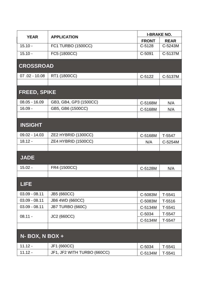| <b>YEAR</b>         | <b>APPLICATION</b>          | <b>I-BRAKE NO.</b> |             |
|---------------------|-----------------------------|--------------------|-------------|
|                     |                             | <b>FRONT</b>       | <b>REAR</b> |
| $15.10 -$           | <b>FC1 TURBO (1500CC)</b>   | $C-5128$           | C-5243M     |
| $15.10 -$           | FC5 (1800CC)                | C-5091             | C-5137M     |
| <b>CROSSROAD</b>    |                             |                    |             |
| $07.02 - 10.08$     | RT1 (1800CC)                | $C-5122$           | C-5137M     |
|                     |                             |                    |             |
| <b>FREED, SPIKE</b> |                             |                    |             |
| $08.05 - 16.09$     | GB3, GB4, GP3 (1500CC)      | C-5168M            | N/A         |
| $16.09 -$           | GB5, GB6 (1500CC)           | C-5168M            | N/A         |
|                     |                             |                    |             |
| <b>INSIGHT</b>      |                             |                    |             |
| 09.02 - 14.03       | ZE2 HYBRID (1300CC)         | C-5168M            | T-5547      |
| $18.12 -$           | ZE4 HYBRID (1500CC)         | N/A                | C-5254M     |
|                     |                             |                    |             |
| <b>JADE</b>         |                             |                    |             |
| $15.02 -$           | FR4 (1500CC)                | C-5128M            | N/A         |
|                     |                             |                    |             |
| <b>LIFE</b>         |                             |                    |             |
| $03.09 - 08.11$     | <b>JB5 (660CC)</b>          | C-5083M            | $T-5541$    |
| $03.09 - 08.11$     | JB6 4WD (660CC)             | C-5083M            | T-5516      |
| $03.09 - 08.11$     | JB7 TURBO (660C)            | C-5134M            | T-5541      |
| $08.11 -$           | <b>JC2 (660CC)</b>          | C-5034             | T-5547      |
|                     |                             | C-5134M            | T-5547      |
|                     |                             |                    |             |
| N- BOX, N BOX +     |                             |                    |             |
| $11.12 -$           | JF1 (660CC)                 | C-5034             | $T-5541$    |
| $11.12 -$           | JF1, JF2 WITH TURBO (660CC) | C-5134M            | T-5541      |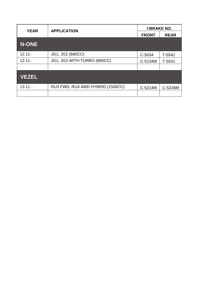| <b>YEAR</b> | <b>APPLICATION</b>               | <b>I-BRAKE NO.</b> |             |
|-------------|----------------------------------|--------------------|-------------|
|             |                                  | <b>FRONT</b>       | <b>REAR</b> |
| N-ONE       |                                  |                    |             |
| $12.11 -$   | JG1, JG2 (660CC)                 | C-5034             | T-5541      |
| $12.11 -$   | JG1, JG2 WITH TURBO (660CC)      | C-5134M            | T-5541      |
|             |                                  |                    |             |
| VEZEL       |                                  |                    |             |
| $13.11 -$   | RU3 FWD, RU4 4WD HYBRID (1500CC) | C-5214M            | C-5226M     |
|             |                                  |                    |             |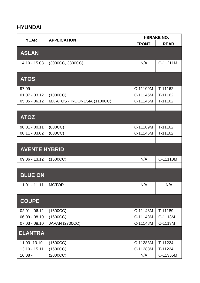#### HYUNDAI

| <b>YEAR</b><br><b>APPLICATION</b> | <b>I-BRAKE NO.</b>           |              |             |
|-----------------------------------|------------------------------|--------------|-------------|
|                                   |                              | <b>FRONT</b> | <b>REAR</b> |
| <b>ASLAN</b>                      |                              |              |             |
| 14.10 - 15.03                     | (3000CC, 3300CC)             | N/A          | C-11211M    |
|                                   |                              |              |             |
| <b>ATOS</b>                       |                              |              |             |
| $97.09 -$                         |                              | C-11109M     | T-11162     |
| $01.07 - 03.12$                   | (1000CC)                     | C-11145M     | T-11162     |
| $05.05 - 06.12$                   | MX ATOS - INDONESIA (1100CC) | C-11145M     | T-11162     |
|                                   |                              |              |             |
| <b>ATOZ</b>                       |                              |              |             |
| $98.01 - 00.11$                   | (800CC)                      | C-11109M     | T-11162     |
| $00.11 - 03.02$                   | (800CC)                      | C-11145M     | T-11162     |
|                                   |                              |              |             |
| <b>AVENTE HYBRID</b>              |                              |              |             |
| 09.06 - 13.12                     | (1500CC)                     | N/A          | C-11118M    |
|                                   |                              |              |             |
| <b>BLUE ON</b>                    |                              |              |             |
| 11.01 - 11.11   MOTOR             |                              | N/A          | N/A         |
|                                   |                              |              |             |
| <b>COUPE</b>                      |                              |              |             |
| $02.01 - 06.12$                   | (1600CC)                     | C-11148M     | T-11189     |
| $06.09 - 08.10$                   | (1600CC)                     | C-11148M     | C-1113M     |
| $07.03 - 08.10$                   | <b>JAPAN (2700CC)</b>        | C-11148M     | C-1113M     |
| <b>ELANTRA</b>                    |                              |              |             |
| 11.03-13.10                       | (1600CC)                     | C-11283M     | T-11224     |
| 13.10 - 15.11                     | (1600CC)                     | C-11283M     | T-11224     |
| $16.08 -$                         | (2000CC)                     | N/A          | C-11355M    |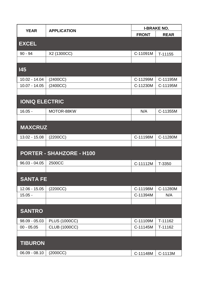| <b>YEAR</b><br><b>APPLICATION</b> | <b>I-BRAKE NO.</b>       |              |             |
|-----------------------------------|--------------------------|--------------|-------------|
|                                   |                          | <b>FRONT</b> | <b>REAR</b> |
| <b>EXCEL</b>                      |                          |              |             |
| $90 - 94$                         | X2 (1300CC)              | C-11091M     | T-11155     |
|                                   |                          |              |             |
| 145                               |                          |              |             |
| $10.02 - 14.04$                   | (2400CC)                 | C-11299M     | C-11195M    |
| $10.07 - 14.05$                   | (2400CC)                 | C-11230M     | C-11195M    |
|                                   |                          |              |             |
| <b>IONIQ ELECTRIC</b>             |                          |              |             |
| $16.05 -$                         | MOTOR-88KW               | N/A          | C-11355M    |
|                                   |                          |              |             |
| <b>MAXCRUZ</b>                    |                          |              |             |
| 13.02 - 15.08                     | (2200CC)                 | C-11198M     | C-11280M    |
|                                   |                          |              |             |
|                                   | PORTER - SHAHZORE - H100 |              |             |
| $96.03 - 04.05$                   | 2500CC                   | C-11112M     | T-3350      |
|                                   |                          |              |             |
| <b>SANTA FE</b>                   |                          |              |             |
| $12.06 - 15.05$                   | (2200CC)                 | C-11198M     | C-11280M    |
| $15.05 -$                         |                          | C-11394M     | N/A         |
|                                   |                          |              |             |
| <b>SANTRO</b>                     |                          |              |             |
| $98.09 - 05.03$                   | <b>PLUS (1000CC)</b>     | C-11109M     | T-11162     |
| $00 - 05.05$                      | <b>CLUB (1000CC)</b>     | C-11145M     | T-11162     |
|                                   |                          |              |             |
| <b>TIBURON</b>                    |                          |              |             |
| $06.09 - 08.10$                   | (2000CC)                 | C-11148M     | C-1113M     |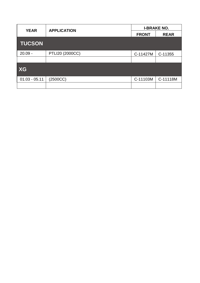| <b>YEAR</b>     | <b>APPLICATION</b> | <b>I-BRAKE NO.</b> |             |
|-----------------|--------------------|--------------------|-------------|
|                 |                    | <b>FRONT</b>       | <b>REAR</b> |
| <b>TUCSON</b>   |                    |                    |             |
| $20.09 -$       | PTLI20 (2000CC)    | C-11427M           | C-11355     |
|                 |                    |                    |             |
| XG              |                    |                    |             |
| $01.03 - 05.11$ | (2500CC)           | C-11103M           | C-11118M    |
|                 |                    |                    |             |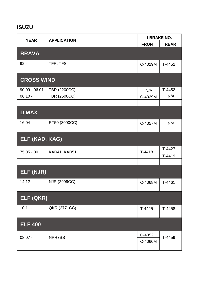## ISUZU

| <b>APPLICATION</b><br><b>YEAR</b> | <b>I-BRAKE NO.</b>  |              |             |
|-----------------------------------|---------------------|--------------|-------------|
|                                   |                     | <b>FRONT</b> | <b>REAR</b> |
| <b>BRAVA</b>                      |                     |              |             |
| $92 -$                            | TFR, TFS            | C-4029M      | T-4452      |
|                                   |                     |              |             |
| <b>CROSS WIND</b>                 |                     |              |             |
| $90.09 - 96.01$                   | <b>TBR (2200CC)</b> | N/A          | T-4452      |
| $06.10 -$                         | <b>TBR (2500CC)</b> | C-4029M      | N/A         |
|                                   |                     |              |             |
| <b>D MAX</b>                      |                     |              |             |
| $16.04 -$                         | RT50 (3000CC)       | C-4057M      | N/A         |
|                                   |                     |              |             |
| ELF (KAD, KAG)                    |                     |              |             |
| 75.05 - 80                        | KAD41, KAD51        | $T-4418$     | T-4427      |
|                                   |                     |              | $T-4419$    |
|                                   |                     |              |             |
| ELF (NJR)                         |                     |              |             |
| $14.12 -$                         | NJR (2999CC)        | C-4068M      | T-4461      |
|                                   |                     |              |             |
| ELF (QKR)                         |                     |              |             |
| $10.11 -$                         | QKR (2771CC)        | $T-4425$     | T-4458      |
|                                   |                     |              |             |
| <b>ELF 400</b>                    |                     |              |             |
| $08.07 -$                         | NPR7SS              | C-4052       | T-4459      |
|                                   |                     | C-4060M      |             |
|                                   |                     |              |             |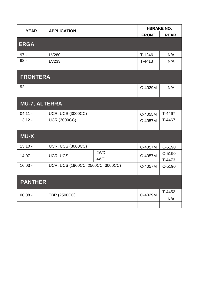| <b>YEAR</b>     | <b>APPLICATION</b>                |     | <b>I-BRAKE NO.</b> |             |
|-----------------|-----------------------------------|-----|--------------------|-------------|
|                 |                                   |     | <b>FRONT</b>       | <b>REAR</b> |
| <b>ERGA</b>     |                                   |     |                    |             |
| $97 -$          | <b>LV280</b>                      |     | $T-1246$           | N/A         |
| $98 -$          | LV233                             |     | T-4413             | N/A         |
|                 |                                   |     |                    |             |
| <b>FRONTERA</b> |                                   |     |                    |             |
| $92 -$          |                                   |     | C-4029M            | N/A         |
|                 |                                   |     |                    |             |
| MU-7, ALTERRA   |                                   |     |                    |             |
| $04.11 -$       | <b>UCR, UCS (3000CC)</b>          |     | C-4055M            | T-4467      |
| $13.12 -$       | <b>UCR (3000CC)</b>               |     | C-4057M            | T-4467      |
|                 |                                   |     |                    |             |
| MU-X            |                                   |     |                    |             |
| $13.10 -$       | <b>UCR, UCS (3000CC)</b>          |     | C-4057M            | C-5190      |
| $14.07 -$       | UCR, UCS                          | 2WD | C-4057M            | C-5190      |
|                 | 4WD                               |     | T-4473             |             |
| $16.03 -$       | UCR, UCS (1900CC, 2500CC, 3000CC) |     | C-4057M            | C-5190      |
|                 |                                   |     |                    |             |
| <b>PANTHER</b>  |                                   |     |                    |             |
| $00.08 -$       | <b>TBR (2500CC)</b>               |     | C-4029M            | $T-4452$    |
|                 |                                   |     |                    | N/A         |
|                 |                                   |     |                    |             |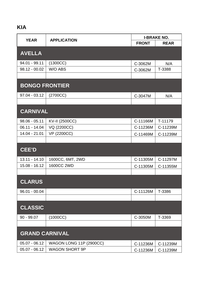# KIA

| <b>APPLICATION</b>    | <b>I-BRAKE NO.</b>      |              |             |
|-----------------------|-------------------------|--------------|-------------|
| <b>YEAR</b>           |                         | <b>FRONT</b> | <b>REAR</b> |
| <b>AVELLA</b>         |                         |              |             |
|                       |                         |              |             |
| 94.01 - 99.11         | (1300CC)                | C-3062M      | N/A         |
| $98.12 - 00.02$       | W/O ABS                 | C-3062M      | T-3388      |
|                       |                         |              |             |
| <b>BONGO FRONTIER</b> |                         |              |             |
|                       |                         |              |             |
| $97.04 - 03.12$       | (2700CC)                | C-3047M      | N/A         |
|                       |                         |              |             |
| <b>CARNIVAL</b>       |                         |              |             |
|                       |                         |              |             |
| $98.06 - 05.11$       | <b>KV-II (2500CC)</b>   | C-11166M     | T-11179     |
| 06.11 - 14.04         | VQ (2200CC)             | C-11236M     | C-11239M    |
| 14.04 - 21.01         | <b>VP (2200CC)</b>      | C-11469M     | C-11239M    |
|                       |                         |              |             |
| CEE'D                 |                         |              |             |
|                       |                         |              |             |
| $13.11 - 14.10$       | 1600CC, 6MT, 2WD        | C-11305M     | C-11297M    |
| $15.08 - 16.12$       | 1600CC 2WD              | C-11305M     | C-11355M    |
|                       |                         |              |             |
| <b>CLARUS</b>         |                         |              |             |
|                       |                         |              |             |
| $96.01 - 00.04$       |                         | C-11126M     | T-3386      |
|                       |                         |              |             |
| <b>CLASSIC</b>        |                         |              |             |
|                       |                         |              |             |
| $90 - 99.07$          | (1000CC)                | C-3050M      | T-3369      |
|                       |                         |              |             |
| <b>GRAND CARNIVAL</b> |                         |              |             |
|                       |                         |              |             |
| $05.07 - 06.12$       | WAGON LONG 11P (2900CC) | C-11236M     | C-11239M    |
| $05.07 - 06.12$       | <b>WAGON SHORT 9P</b>   | C-11236M     | C-11239M    |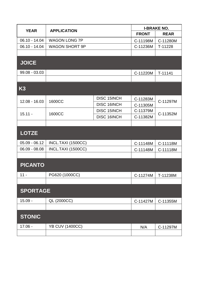| <b>YEAR</b>     | <b>APPLICATION</b>     |                    | <b>I-BRAKE NO.</b> |             |
|-----------------|------------------------|--------------------|--------------------|-------------|
|                 |                        |                    | <b>FRONT</b>       | <b>REAR</b> |
| $06.10 - 14.04$ | <b>WAGON LONG 7P</b>   |                    | C-11198M           | C-11280M    |
| $06.10 - 14.04$ | <b>WAGON SHORT 9P</b>  |                    | C-11236M           | T-11228     |
|                 |                        |                    |                    |             |
| <b>JOICE</b>    |                        |                    |                    |             |
| $99.08 - 03.03$ |                        |                    | C-11220M           | T-11141     |
|                 |                        |                    |                    |             |
| K <sub>3</sub>  |                        |                    |                    |             |
| $12.08 - 16.03$ | 1600CC                 | <b>DISC 15INCH</b> | C-11283M           | C-11297M    |
|                 |                        | <b>DISC 16INCH</b> | C-11305M           |             |
| $15.11 -$       | 1600CC                 | <b>DISC 15INCH</b> | C-11379M           | C-11352M    |
|                 |                        | <b>DISC 16INCH</b> | C-11382M           |             |
|                 |                        |                    |                    |             |
| <b>LOTZE</b>    |                        |                    |                    |             |
| $05.09 - 06.12$ | INCL.TAXI (1500CC)     |                    | C-11148M           | C-11118M    |
| $06.09 - 08.08$ | INCL.TAXI (1500CC)     |                    | C-11148M           | C-11118M    |
|                 |                        |                    |                    |             |
| <b>PICANTO</b>  |                        |                    |                    |             |
| $11 -$          | PG620 (1000CC)         |                    | C-11274M           | T-11238M    |
|                 |                        |                    |                    |             |
| <b>SPORTAGE</b> |                        |                    |                    |             |
| $15.09 -$       | QL (2000CC)            |                    | C-11427M           | C-11355M    |
|                 |                        |                    |                    |             |
| <b>STONIC</b>   |                        |                    |                    |             |
| $17.06 -$       | <b>YB CUV (1400CC)</b> |                    | N/A                | C-11297M    |
|                 |                        |                    |                    |             |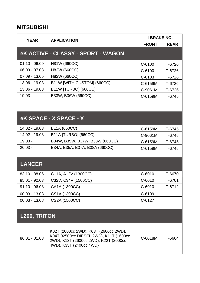#### MITSUBISHI

| <b>YEAR</b>     | APPLICATION                                                                                                                                         | <b>I-BRAKE NO.</b> |             |
|-----------------|-----------------------------------------------------------------------------------------------------------------------------------------------------|--------------------|-------------|
|                 |                                                                                                                                                     | <b>FRONT</b>       | <b>REAR</b> |
|                 | eK ACTIVE - CLASSY - SPORT - WAGON                                                                                                                  |                    |             |
| $01.10 - 06.09$ | H81W (660CC)                                                                                                                                        | C-6100             | T-6726      |
| $06.09 - 07.08$ | H82W (660CC)                                                                                                                                        | C-6100             | T-6726      |
| $07.09 - 13.05$ | H82W (660CC)                                                                                                                                        | C-6103             | T-6726      |
| 13.06 - 19.03   | B11W [WITH CUSTOM] (660CC)                                                                                                                          | C-6159M            | T-6726      |
| 13.06 - 19.03   | B11W [TURBO] (660CC)                                                                                                                                | C-9061M            | T-6726      |
| $19.03 -$       | B33W, B36W (660CC)                                                                                                                                  | C-6159M            | T-6745      |
|                 |                                                                                                                                                     |                    |             |
|                 |                                                                                                                                                     |                    |             |
|                 | eK SPACE - X SPACE - X                                                                                                                              |                    |             |
| 14.02 - 19.03   | B11A (660CC)                                                                                                                                        | C-6159M            | T-6745      |
| 14.02 - 19.03   | <b>B11A [TURBO] (660CC)</b>                                                                                                                         | C-9061M            | T-6745      |
| $19.03 -$       | B34W, B35W, B37W, B38W (660CC)                                                                                                                      | C-6159M            | T-6745      |
| $20.03 -$       | B34A, B35A, B37A, B38A (660CC)                                                                                                                      | C-6159M            | T-6745      |
|                 |                                                                                                                                                     |                    |             |
| <b>LANCER</b>   |                                                                                                                                                     |                    |             |
| 83.10 - 88.06   | C11A, A12V (1300CC)                                                                                                                                 | C-6010             | T-6670      |
| 85.01 - 92.03   | C32V, C34V (1500CC)                                                                                                                                 | $C-6010$           | T-6701      |
| $91.10 - 96.08$ | CA1A (1300CC)                                                                                                                                       | $C - 6010$         | T-6712      |
| $00.03 - 13.08$ | CS1A (1300CC)                                                                                                                                       | C-6109             |             |
| $00.03 - 13.08$ | CS2A (1500CC)                                                                                                                                       | C-6127             |             |
|                 |                                                                                                                                                     |                    |             |
| L200, TRITON    |                                                                                                                                                     |                    |             |
| $86.01 - 01.03$ | K02T (2000cc 2WD), K03T (2600cc 2WD),<br>K04T 92500cc DIESEL 2WD), K11T (1600cc<br>2WD), K13T (2600cc 2WD), K22T (2000cc<br>4WD), K35T (2400cc 4WD) | C-6018M            | T-6664      |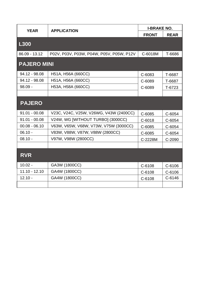| <b>YEAR</b><br><b>APPLICATION</b> |                                          | <b>I-BRAKE NO.</b> |             |
|-----------------------------------|------------------------------------------|--------------------|-------------|
|                                   |                                          | <b>FRONT</b>       | <b>REAR</b> |
| L300                              |                                          |                    |             |
| 86.09 - 13.12                     | P02V, P03V, P03W, P04W, P05V, P05W, P12V | C-6018M            | T-6686      |
| <b>PAJERO MINI</b>                |                                          |                    |             |
| 94.12 - 98.08                     | H51A, H56A (660CC)                       | C-6083             | T-6687      |
| 94.12 - 98.08                     | H51A, H56A (660CC)                       | C-6089             | T-6687      |
| $98.09 -$                         | H53A, H58A (660CC)                       | C-6089             | T-6723      |
|                                   |                                          |                    |             |
| <b>PAJERO</b>                     |                                          |                    |             |
| $91.01 - 00.08$                   | V23C, V24C, V25W, V26WG, V43W (2400CC)   | C-6085             | C-6054      |
| $91.01 - 00.08$                   | V24W, WG [WITHOUT TURBO] (3000CC)        | C-6018             | C-6054      |
| $00.08 - 06.10$                   | V63W, V65W, V68W, V73W, V75W (3000CC)    | C-6085             | C-6054      |
| $06.10 -$                         | V83W, V88W, V87W, V88W (2800CC)          | C-6085             | C-6054      |
| $08.10 -$                         | V97W, V98W (2800CC)                      | C-2228M            | C-2090      |
|                                   |                                          |                    |             |
| <b>RVR</b>                        |                                          |                    |             |
| $10.02 -$                         | GA3W (1800CC)                            | C-6108             | C-6106      |
| $11.10 - 12.10$                   | GA4W (1800CC)                            | C-6108             | C-6106      |
| $12.10 -$                         | GA4W (1800CC)                            | C-6108             | C-6146      |
|                                   |                                          |                    |             |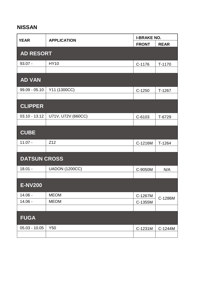## NISSAN

| <b>YEAR</b>         | <b>APPLICATION</b>    | <b>I-BRAKE NO.</b> |             |
|---------------------|-----------------------|--------------------|-------------|
|                     |                       | <b>FRONT</b>       | <b>REAR</b> |
| <b>AD RESORT</b>    |                       |                    |             |
| $93.07 -$           | <b>HY10</b>           | C-1176             | T-1170      |
|                     |                       |                    |             |
| <b>AD VAN</b>       |                       |                    |             |
| $99.09 - 05.10$     | Y11 (1300CC)          | $C-1250$           | $T-1267$    |
|                     |                       |                    |             |
| <b>CLIPPER</b>      |                       |                    |             |
| $03.10 - 13.12$     | U71V, U72V (660CC)    | C-6103             | T-6729      |
|                     |                       |                    |             |
| <b>CUBE</b>         |                       |                    |             |
| $11.07 -$           | Z12                   | C-1216M            | T-1264      |
|                     |                       |                    |             |
| <b>DATSUN CROSS</b> |                       |                    |             |
| $18.01 -$           | <b>UADON (1200CC)</b> | C-9050M            | N/A         |
|                     |                       |                    |             |
| <b>E-NV200</b>      |                       |                    |             |
| $14.06 -$           | <b>MEOM</b>           | C-1267M            | C-1286M     |
| $14.06 -$           | <b>MEOM</b>           | C-1355M            |             |
|                     |                       |                    |             |
| <b>FUGA</b>         |                       |                    |             |
| $05.03 - 10.05$     | Y50                   | C-1231M            | C-1244M     |
|                     |                       |                    |             |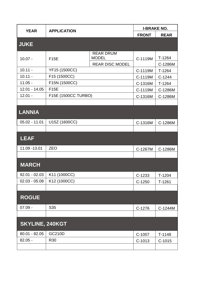| <b>YEAR</b>     | <b>APPLICATION</b>  |                                  | <b>I-BRAKE NO.</b> |             |
|-----------------|---------------------|----------------------------------|--------------------|-------------|
|                 |                     |                                  | <b>FRONT</b>       | <b>REAR</b> |
| <b>JUKE</b>     |                     |                                  |                    |             |
|                 |                     |                                  |                    |             |
| $10.07 -$       | <b>F15E</b>         | <b>REAR DRUM</b><br><b>MODEL</b> | C-1119M            | T-1264      |
|                 |                     | <b>REAR DISC MODEL</b>           |                    | C-1286M     |
| $10.11 -$       | YF15 (1500CC)       |                                  | C-1119M            | T-1264      |
| $10.11 -$       | F15 (1500CC)        |                                  | C-1119M            | $C-1244$    |
| $11.05 -$       | F15N (1500CC)       |                                  | C-1316M            | T-1264      |
| $12.01 - 14.05$ | <b>F15E</b>         |                                  | C-1119M            | C-1286M     |
| $12.01 -$       | F15E (1500CC TURBO) |                                  | C-1316M            | C-1286M     |
|                 |                     |                                  |                    |             |
| <b>LANNIA</b>   |                     |                                  |                    |             |
|                 |                     |                                  |                    |             |
| $05.02 - 11.01$ | U15Z (1600CC)       |                                  | C-1316M            | C-1286M     |
|                 |                     |                                  |                    |             |
| LEAF            |                     |                                  |                    |             |
|                 |                     |                                  |                    |             |
| 11.09 - 13.01   | <b>ZEO</b>          |                                  | C-1267M            | C-1286M     |
|                 |                     |                                  |                    |             |
| <b>MARCH</b>    |                     |                                  |                    |             |
|                 |                     |                                  |                    |             |
| $92.01 - 02.03$ | K11 (1000CC)        |                                  | $C-1233$           | $T-1204$    |
| $02.03 - 05.08$ | K12 (1000CC)        |                                  | $C-1250$           | $T-1261$    |
|                 |                     |                                  |                    |             |
| <b>ROGUE</b>    |                     |                                  |                    |             |
|                 |                     |                                  |                    |             |
| $07.09 -$       | S35                 |                                  | $C-1276$           | C-1244M     |
|                 |                     |                                  |                    |             |
| SKYLINE, 240KGT |                     |                                  |                    |             |
|                 |                     |                                  |                    |             |
| $80.01 - 82.05$ | <b>GC210D</b>       |                                  | C-1007             | $T-1148$    |
| $82.05 -$       | R30                 |                                  | $C-1013$           | $C-1015$    |
|                 |                     |                                  |                    |             |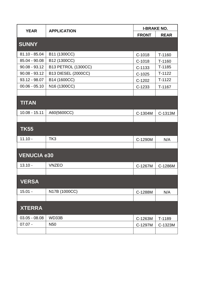| <b>YEAR</b>        | <b>APPLICATION</b>         | <b>I-BRAKE NO.</b> |             |
|--------------------|----------------------------|--------------------|-------------|
|                    |                            | <b>FRONT</b>       | <b>REAR</b> |
| <b>SUNNY</b>       |                            |                    |             |
|                    |                            |                    |             |
| 81.10 - 85.04      | B11 (1300CC)               | $C-1018$           | T-1160      |
| 85.04 - 90.08      | B12 (1300CC)               | $C-1018$           | T-1160      |
| $90.08 - 93.12$    | <b>B13 PETROL (1300CC)</b> | $C-1133$           | $T-1185$    |
| $90.08 - 93.12$    | <b>B13 DIESEL (2000CC)</b> | $C-1025$           | $T-1122$    |
| 93.12 - 98.07      | B14 (1600CC)               | C-1202             | $T-1122$    |
| $00.06 - 05.10$    | N <sub>16</sub> (1300CC)   | $C-1233$           | T-1167      |
|                    |                            |                    |             |
| <b>TITAN</b>       |                            |                    |             |
| $10.08 - 15.11$    | A60(5600CC)                | C-1304M            | C-1313M     |
|                    |                            |                    |             |
|                    |                            |                    |             |
| <b>TK55</b>        |                            |                    |             |
| $11.10 -$          | TK <sub>3</sub>            | C-1290M            | N/A         |
|                    |                            |                    |             |
| <b>VENUCIA e30</b> |                            |                    |             |
|                    |                            |                    |             |
| $13.10 -$          | <b>VNZEO</b>               | C-1267M            | C-1286M     |
|                    |                            |                    |             |
| <b>VERSA</b>       |                            |                    |             |
| $15.01 -$          | N17B (1000CC)              | C-1288M            | N/A         |
|                    |                            |                    |             |
| <b>XTERRA</b>      |                            |                    |             |
|                    |                            |                    |             |
| $03.05 - 08.08$    | WD33B                      | C-1263M            | T-1189      |
| $07.07 -$          | N <sub>50</sub>            | C-1297M            | C-1323M     |
|                    |                            |                    |             |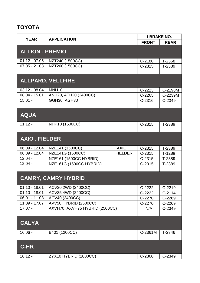## TOYOTA

| <b>YEAR</b><br><b>APPLICATION</b> |                                    | <b>I-BRAKE NO.</b> |             |
|-----------------------------------|------------------------------------|--------------------|-------------|
|                                   |                                    | <b>FRONT</b>       | <b>REAR</b> |
| <b>ALLION - PREMIO</b>            |                                    |                    |             |
|                                   |                                    |                    |             |
| $01.12 - 07.05$                   | NZT240 (1500CC)                    | $C-2180$           | T-2358      |
| $07.05 - 21.03$                   | NZT260 (1500CC)                    | $C-2315$           | T-2389      |
|                                   |                                    |                    |             |
|                                   | ALLPARD, VELLFIRE                  |                    |             |
| $03.12 - 08.04$                   | MNH <sub>10</sub>                  | $C-2223$           | C-2198M     |
| $08.04 - 15.01$                   | ANH20, ATH20 (2400CC)              | $C-2265$           | C-2239M     |
| $15.01 -$                         | <b>GGH30, AGH30</b>                | $C-2316$           | C-2349      |
|                                   |                                    |                    |             |
| <b>AQUA</b>                       |                                    |                    |             |
|                                   |                                    |                    |             |
| $11.12 -$                         | NHP10 (1500CC)                     | $C-2315$           | T-2389      |
|                                   |                                    |                    |             |
| <b>AXIO. FIELDER</b>              |                                    |                    |             |
|                                   |                                    |                    |             |
| 06.09 - 12.04                     | NZE141 (1500CC)<br><b>AXIO</b>     | $C-2315$           | T-2389      |
| $06.09 - 12.04$                   | NZE141G (1500CC)<br><b>FIELDER</b> | $C-2315$           | T-1289      |
| $12.04 -$                         | NZE161 (1500CC HYBRID)             | $C-2315$           | T-2389      |
| $12.04 -$                         | NZE161G (1500CC HYBRID)            | $C-2315$           | T-2389      |
|                                   |                                    |                    |             |
|                                   | <b>CAMRY, CAMRY HYBRID</b>         |                    |             |
|                                   |                                    |                    |             |
| $01.10 - 18.01$                   | ACV30 2WD (2400CC)                 | $C-2222$           | $C-2219$    |
| $01.10 - 18.01$                   | ACV35 4WD (2400CC)                 | C-2222             | $C-2114$    |
| $06.01 - 11.08$                   | ACV40 (2400CC)                     | C-2270             | C-2269      |
| 11.09 - 17.07                     | AVV50 HYBRID (2500CC)              | C-2270             | C-2269      |
| $17.07 -$                         | AXVH70, AXVH75 HYBRID (2500CC)     | N/A                | C-2349      |
|                                   |                                    |                    |             |
| <b>CALYA</b>                      |                                    |                    |             |
| $16.06 -$                         | B401 (1200CC)                      | C-2361M            | T-2346      |
|                                   |                                    |                    |             |
|                                   |                                    |                    |             |
| $C-HR$                            |                                    |                    |             |
| $16.12 -$                         | ZYX10 HYBRID (1800CC)              | C-2360             | C-2349      |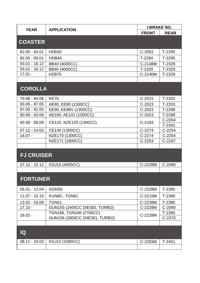|                   | <b>APPLICATION</b>            | <b>I-BRAKE NO.</b> |             |
|-------------------|-------------------------------|--------------------|-------------|
| <b>YEAR</b>       |                               | <b>FRONT</b>       | <b>REAR</b> |
|                   |                               |                    |             |
| <b>COASTER</b>    |                               |                    |             |
| 82.05 - 93.01     | HZB <sub>30</sub>             | C-2052             | T-2295      |
| 82.05 - 93.01     | HDB40                         | T-2294             | T-2295      |
| $93.01 - 16.12$   | BB40 (4000CC)                 | C-2148M            | T-2329      |
| $93.01 - 16.12$   | BB40 (4000CC)                 | T-2329             | T-2329      |
| $17.01 -$         | HZB70                         | C-2140M            | T-2329      |
|                   |                               |                    |             |
| <b>COROLLA</b>    |                               |                    |             |
|                   |                               |                    |             |
| 79.08 - 84.06     | <b>KE70</b>                   | $C-2015$           | T-2202      |
| 83.05 - 87.05     | AE80, EE80 (1300CC)           | $C-2023$           | T-2203      |
| 87.05 - 92.05     | EE90, EE96V (1300CC)          | $C-2023$           | T-2288      |
| $90.09 - 02.06$   | AE100, AE101 (1300CC)         | $C-2023$           | T-2288      |
| $00.08 - 08.08$   | CE120, NZE120 (1300CC)        | $C-2183$           | $C-2204$    |
|                   |                               |                    | T-2342      |
| $07.12 - 14.03$   | CE140 (1300CC)                | $C-2274$           | $C-2254$    |
| $14.07 -$         | NZE170 (1300CC)               | $C-2274$           | $C-2254$    |
|                   | NZE171 (1800CC)               | $C-2253$           | C-2187      |
|                   |                               |                    |             |
| <b>FJ CRUISER</b> |                               |                    |             |
|                   |                               |                    |             |
| $07.12 - 15.12$   | GSJ15 (4000CC)                | C-2228M            | C-2090      |
|                   |                               |                    |             |
| <b>FORTUNER</b>   |                               |                    |             |
|                   |                               |                    |             |
| $05.01 - 12.04$   | <b>GGN50</b>                  | C-2228M            | T-2395      |
| $11.07 - 15.10$   | KUN60, TGN61                  | C-2215M            | T-2395      |
| 13.02 - 16.09     | <b>TGN51</b>                  | C-2228M            | T-2395      |
| $17.10 -$         | GUN155 (2400CC DIESEL TURBO)  | C-2228M            | C-2090      |
| $18.02 -$         | TGN156, TGN166 (2700CC)       | C-2228M            | T-2395      |
|                   | GUN156 (2800CC DIIESEL TURBO) |                    | C-2370      |
|                   |                               |                    |             |
|                   |                               |                    |             |
| IQ                |                               |                    |             |
| $08.11 - 16.03$   | KGJ10 (1000CC)                | C-2283M            | $T-2401$    |
|                   |                               |                    |             |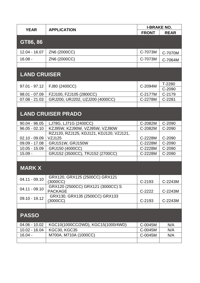| <b>YEAR</b>         | <b>APPLICATION</b>                                       | <b>I-BRAKE NO.</b> |                  |
|---------------------|----------------------------------------------------------|--------------------|------------------|
|                     |                                                          | <b>FRONT</b>       | <b>REAR</b>      |
| GT86, 86            |                                                          |                    |                  |
|                     |                                                          |                    |                  |
| 12.04 - 16.07       | ZN6 (2000CC)                                             | C-7073M            | C-7070M          |
| $16.08 -$           | ZN6 (2000CC)                                             | C-7073M            | C-7064M          |
|                     |                                                          |                    |                  |
| <b>LAND CRUISER</b> |                                                          |                    |                  |
|                     |                                                          |                    |                  |
| $97.01 - 97.12$     | FJ80 (2400CC)                                            | C-2094M            | T-2280           |
| $98.01 - 07.09$     | FZJ100, FZJ105 (2800CC)                                  | C-2177M            | C-2090<br>C-2179 |
| $07.08 - 21.03$     | GRJ200, URJ202, UZJ200 (4000CC)                          | C-2278M            | C-2281           |
|                     |                                                          |                    |                  |
|                     |                                                          |                    |                  |
|                     | <b>LAND CRUISER PRADO</b>                                |                    |                  |
| $90.04 - 96.05$     | LJ78G, LJ71G (2400CC)                                    | C-2082M            | C-2090           |
| $96.05 - 02.10$     | KZJ95W, KZJ90W, VZJ95W, VZJ90W                           | C-2082M            | C-2090           |
| $02.10 - 09.09$     | RZJ120, RZJ125, KDJ121, KDJ120, VZJ121,<br><b>VZJ125</b> | C-2228M            | C-2090           |
| $09.09 - 17.08$     | <b>GRJ151W, GRJ150W</b>                                  | C-2228M            | C-2090           |
| $10.05 - 15.09$     | GRJ150 (4000CC)                                          | C-2228M            | C-2090           |
| $15.09 -$           | GRJ152 (3500CC), TRJ152 (2700CC)                         | C-2228M            | C-2090           |
|                     |                                                          |                    |                  |
| <b>MARK X</b>       |                                                          |                    |                  |
|                     |                                                          |                    |                  |
| $04.11 - 09.10$     | GRX120, GRX125 (2500CC) GRX121<br>(3000CC)               | $C-2193$           | C-2243M          |
|                     | GRX120 (2500CC) GRX121 (3000CC) S                        |                    |                  |
| $04.11 - 09.10$     | <b>PACKAGE</b>                                           | $C-2222$           | C-2243M          |
| 09.10 - 19.12       | GRX130, GRX135 (2500CC) GRX133<br>(3000CC)               | $C-2193$           | C-2243M          |
|                     |                                                          |                    |                  |
|                     |                                                          |                    |                  |
| <b>PASSO</b>        |                                                          |                    |                  |
| $04.06 - 10.02$     | KGC10(1000CC/2WD), KGC15(1000/4WD)                       | C-0045M            | N/A              |
| 10.02 - 16.04       | <b>KGC30, KGC35</b>                                      | C-0045M            | N/A              |
| $16.04 -$           | M700A, M710A (1000CC)                                    | C-0045M            | N/A              |
|                     |                                                          |                    |                  |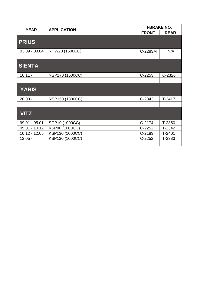| <b>YEAR</b>     | <b>APPLICATION</b> | <b>I-BRAKE NO.</b> |             |
|-----------------|--------------------|--------------------|-------------|
|                 |                    | <b>FRONT</b>       | <b>REAR</b> |
| <b>PRIUS</b>    |                    |                    |             |
| $03.09 - 08.04$ | NHW20 (1500CC)     | C-2283M            | N/A         |
|                 |                    |                    |             |
| <b>SIENTA</b>   |                    |                    |             |
| $16.11 -$       | NSP170 (1500CC)    | $C-2253$           | $C-2326$    |
|                 |                    |                    |             |
| <b>YARIS</b>    |                    |                    |             |
| $20.03 -$       | NSP150 (1300CC)    | C-2343             | $T-2417$    |
|                 |                    |                    |             |
| <b>VITZ</b>     |                    |                    |             |
| $99.01 - 05.01$ | SCP10 (1000CC)     | $C-2174$           | T-2350      |
| $05.01 - 10.12$ | KSP90 (1000CC)     | $C-2252$           | T-2342      |
| $10.12 - 12.05$ | KSP130 (1000CC)    | $C-2183$           | $T-2401$    |
| $12.05 -$       | KSP130 (1000CC)    | $C-2252$           | T-2383      |
|                 |                    |                    |             |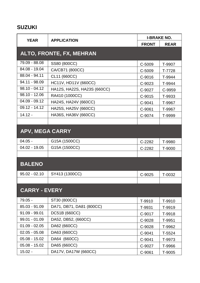# SUZUKI

| <b>YEAR</b><br><b>APPLICATION</b> | <b>I-BRAKE NO.</b>          |              |             |
|-----------------------------------|-----------------------------|--------------|-------------|
|                                   |                             | <b>FRONT</b> | <b>REAR</b> |
|                                   | ALTO, FRONTE, FX, MEHRAN    |              |             |
| 79.09 - 88.08                     | SS80 (800CC)                | C-5009       | T-9907      |
| 84.08 - 19.04                     | CA/CB71 (800CC)             | C-5009       | T-7728      |
| 88.04 - 94.11                     | CL11 (660CC)                | C-9016       | T-9944      |
| 94.11 - 98.09                     | HC11V, HD11V (660CC)        | C-9023       | T-9944      |
| $98.10 - 04.12$                   | HA12S, HA22S, HA23S (660CC) | C-9027       | C-9959      |
| $98.10 - 12.06$                   | RA410 (1000CC)              | C-9015       | T-9933      |
| $04.09 - 09.12$                   | HA24S, HA24V (660CC)        | C-9041       | T-9967      |
| $09.12 - 14.12$                   | HA25S, HA25V (660CC)        | C-9061       | T-9967      |
| $14.12 -$                         | HA36S, HA36V (660CC)        | C-9074       | T-9999      |
|                                   |                             |              |             |
| <b>APV, MEGA CARRY</b>            |                             |              |             |
| $04.05 -$                         | G15A (1500CC)               | C-2282       | T-9980      |
| $04.02 - 19.05$                   | G15A (1500CC)               | C-2282       | T-9000      |
|                                   |                             |              |             |
| <b>BALENO</b>                     |                             |              |             |
| $95.02 - 02.10$                   | SY413 (1300CC)              | C-9025       | T-0032      |
|                                   |                             |              |             |
| <b>CARRY - EVERY</b>              |                             |              |             |
| $79.05 -$                         | ST30 (800CC)                | T-9910       | T-9910      |
| 85.03 - 91.09                     | DA71, DB71, DA81 (800CC)    | T-9931       | T-9919      |
| $91.09 - 99.01$                   | DC51B (660CC)               | C-9017       | T-9918      |
| $99.01 - 01.09$                   | DA52, DB52, (660CC)         | C-9028       | T-9951      |
| $01.09 - 02.05$                   | DA62 (660CC)                | C-9028       | T-9962      |
| $02.05 - 05.08$                   | DA63 (660CC)                | C-9041       | T-5524      |
| $05.08 - 15.02$                   | DA64 (660CC)                | C-9041       | T-9973      |
| $05.08 - 15.02$                   | DA65 (660CC)                | C-9027       | T-9966      |
| $15.02 -$                         | DA17V, DA17W (660CC)        | C-9061       | T-9005      |